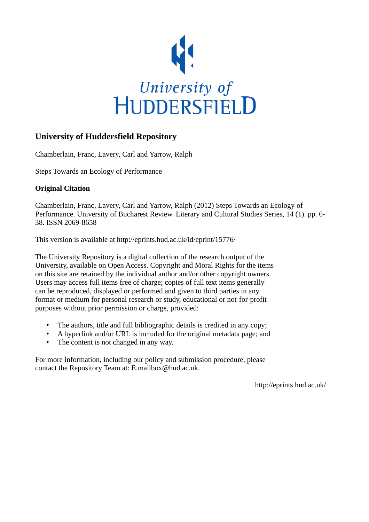

# **University of Huddersfield Repository**

Chamberlain, Franc, Lavery, Carl and Yarrow, Ralph

Steps Towards an Ecology of Performance

# **Original Citation**

Chamberlain, Franc, Lavery, Carl and Yarrow, Ralph (2012) Steps Towards an Ecology of Performance. University of Bucharest Review. Literary and Cultural Studies Series, 14 (1). pp. 6- 38. ISSN 2069-8658

This version is available at http://eprints.hud.ac.uk/id/eprint/15776/

The University Repository is a digital collection of the research output of the University, available on Open Access. Copyright and Moral Rights for the items on this site are retained by the individual author and/or other copyright owners. Users may access full items free of charge; copies of full text items generally can be reproduced, displayed or performed and given to third parties in any format or medium for personal research or study, educational or not-for-profit purposes without prior permission or charge, provided:

- The authors, title and full bibliographic details is credited in any copy;
- A hyperlink and/or URL is included for the original metadata page; and
- The content is not changed in any way.

For more information, including our policy and submission procedure, please contact the Repository Team at: E.mailbox@hud.ac.uk.

http://eprints.hud.ac.uk/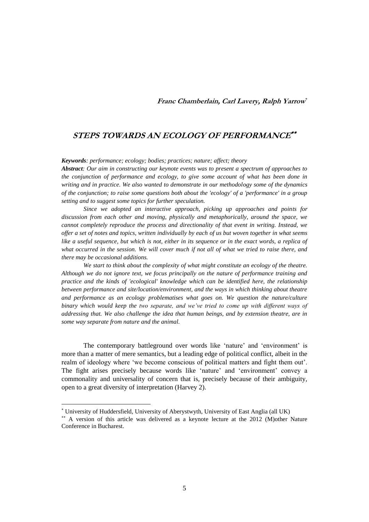## **Franc Chamberlain, Carl Lavery, Ralph Yarrow**

# **STEPS TOWARDS AN ECOLOGY OF PERFORMANCE**

*Keywords: performance; ecology; bodies; practices; nature; affect; theory*

*Abstract: Our aim in constructing our keynote events was to present a spectrum of approaches to the conjunction of performance and ecology, to give some account of what has been done in writing and in practice. We also wanted to demonstrate in our methodology some of the dynamics of the conjunction; to raise some questions both about the 'ecology' of a 'performance' in a group setting and to suggest some topics for further speculation.*

*Since we adopted an interactive approach, picking up approaches and points for discussion from each other and moving, physically and metaphorically, around the space, we cannot completely reproduce the process and directionality of that event in writing. Instead, we offer a set of notes and topics, written individually by each of us but woven together in what seems like a useful sequence, but which is not, either in its sequence or in the exact words, a replica of what occurred in the session. We will cover much if not all of what we tried to raise there, and there may be occasional additions.* 

*We start to think about the complexity of what might constitute an ecology of the theatre. Although we do not ignore text, we focus principally on the nature of performance training and practice and the kinds of 'ecological' knowledge which can be identified here, the relationship between performance and site/location/environment, and the ways in which thinking about theatre and performance as an ecology problematises what goes on. We question the nature/culture binary which would keep the two separate, and we've tried to come up with different ways of addressing that. We also challenge the idea that human beings, and by extension theatre, are in some way separate from nature and the animal.* 

The contemporary battleground over words like 'nature' and 'environment' is more than a matter of mere semantics, but a leading edge of political conflict, albeit in the realm of ideology where "we become conscious of political matters and fight them out". The fight arises precisely because words like "nature" and "environment" convey a commonality and universality of concern that is, precisely because of their ambiguity, open to a great diversity of interpretation (Harvey 2).

l

University of Huddersfield, University of Aberystwyth, University of East Anglia (all UK)

A version of this article was delivered as a keynote lecture at the 2012 (M)other Nature Conference in Bucharest.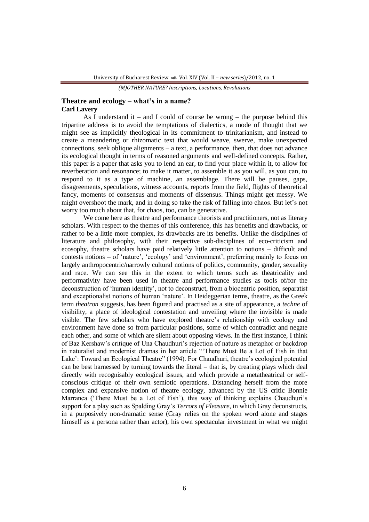## **Theatre and ecology – what's in a name? Carl Lavery**

As I understand it – and I could of course be wrong – the purpose behind this tripartite address is to avoid the temptations of dialectics, a mode of thought that we might see as implicitly theological in its commitment to trinitarianism, and instead to create a meandering or rhizomatic text that would weave, swerve, make unexpected connections, seek oblique alignments  $-$  a text, a performance, then, that does not advance its ecological thought in terms of reasoned arguments and well-defined concepts. Rather, this paper is a paper that asks you to lend an ear, to find your place within it, to allow for reverberation and resonance; to make it matter, to assemble it as you will, as you can, to respond to it as a type of machine, an assemblage. There will be pauses, gaps, disagreements, speculations, witness accounts, reports from the field, flights of theoretical fancy, moments of consensus and moments of dissensus. Things might get messy. We might overshoot the mark, and in doing so take the risk of falling into chaos. But let's not worry too much about that, for chaos, too, can be generative.

We come here as theatre and performance theorists and practitioners, not as literary scholars. With respect to the themes of this conference, this has benefits and drawbacks, or rather to be a little more complex, its drawbacks are its benefits. Unlike the disciplines of literature and philosophy, with their respective sub-disciplines of eco-criticism and ecosophy, theatre scholars have paid relatively little attention to notions – difficult and contests notions – of 'nature', 'ecology' and 'environment', preferring mainly to focus on largely anthropocentric/narrowly cultural notions of politics, community, gender, sexuality and race. We can see this in the extent to which terms such as theatricality and performativity have been used in theatre and performance studies as tools of/for the deconstruction of "human identity", not to deconstruct, from a biocentric position, separatist and exceptionalist notions of human "nature". In Heideggerian terms, theatre, as the Greek term *theatron* suggests, has been figured and practised as a site of appearance, a *techne* of visibility, a place of ideological contestation and unveiling where the invisible is made visible. The few scholars who have explored theatre"s relationship with ecology and environment have done so from particular positions, some of which contradict and negate each other, and some of which are silent about opposing views. In the first instance, I think of Baz Kershaw"s critique of Una Chaudhuri"s rejection of nature as metaphor or backdrop in naturalist and modernist dramas in her article ""There Must Be a Lot of Fish in that Lake': Toward an Ecological Theatre" (1994). For Chaudhuri, theatre's ecological potential can be best harnessed by turning towards the literal – that is, by creating plays which deal directly with recognisably ecological issues, and which provide a metatheatrical or selfconscious critique of their own semiotic operations. Distancing herself from the more complex and expansive notion of theatre ecology, advanced by the US critic Bonnie Marranca ("There Must be a Lot of Fish"), this way of thinking explains Chaudhuri"s support for a play such as Spalding Gray"s *Terrors of Pleasure*, in which Gray deconstructs, in a purposively non-dramatic sense (Gray relies on the spoken word alone and stages himself as a persona rather than actor), his own spectacular investment in what we might

*<sup>(</sup>M)OTHER NATURE? Inscriptions, Locations, Revolutions*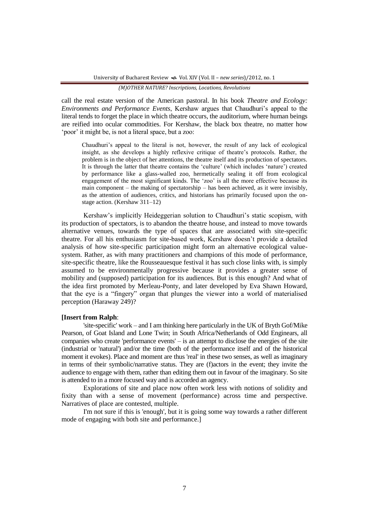call the real estate version of the American pastoral. In his book *Theatre and Ecology: Environments and Performance Events*, Kershaw argues that Chaudhuri's appeal to the literal tends to forget the place in which theatre occurs, the auditorium, where human beings are reified into ocular commodities. For Kershaw, the black box theatre, no matter how "poor" it might be, is not a literal space, but a zoo:

Chaudhuri's appeal to the literal is not, however, the result of any lack of ecological insight, as she develops a highly reflexive critique of theatre"s protocols. Rather, the problem is in the object of her attentions, the theatre itself and its production of spectators. It is through the latter that theatre contains the "culture" (which includes "nature") created by performance like a glass-walled zoo, hermetically sealing it off from ecological engagement of the most significant kinds. The "zoo" is all the more effective because its main component – the making of spectatorship – has been achieved, as it were invisibly, as the attention of audiences, critics, and historians has primarily focused upon the onstage action. (Kershaw 311–12)

Kershaw's implicitly Heideggerian solution to Chaudhuri's static scopism, with its production of spectators, is to abandon the theatre house, and instead to move towards alternative venues, towards the type of spaces that are associated with site-specific theatre. For all his enthusiasm for site-based work, Kershaw doesn"t provide a detailed analysis of how site-specific participation might form an alternative ecological valuesystem. Rather, as with many practitioners and champions of this mode of performance, site-specific theatre, like the Rousseauesque festival it has such close links with, is simply assumed to be environmentally progressive because it provides a greater sense of mobility and (supposed) participation for its audiences. But is this enough? And what of the idea first promoted by Merleau-Ponty, and later developed by Eva Shawn Howard, that the eye is a "fingery" organ that plunges the viewer into a world of materialised perception (Haraway 249)?

## **[Insert from Ralph**:

'site-specific' work – and I am thinking here particularly in the UK of Bryth Gof/Mike Pearson, of Goat Island and Lone Twin; in South Africa/Netherlands of Odd Enginears, all companies who create 'performance events' – is an attempt to disclose the energies of the site (industrial or 'natural') and/or the time (both of the performance itself and of the historical moment it evokes). Place and moment are thus 'real' in these two senses, as well as imaginary in terms of their symbolic/narrative status. They are (f)actors in the event; they invite the audience to engage with them, rather than editing them out in favour of the imaginary. So site is attended to in a more focused way and is accorded an agency.

Explorations of site and place now often work less with notions of solidity and fixity than with a sense of movement (performance) across time and perspective. Narratives of place are contested, multiple.

I'm not sure if this is 'enough', but it is going some way towards a rather different mode of engaging with both site and performance.]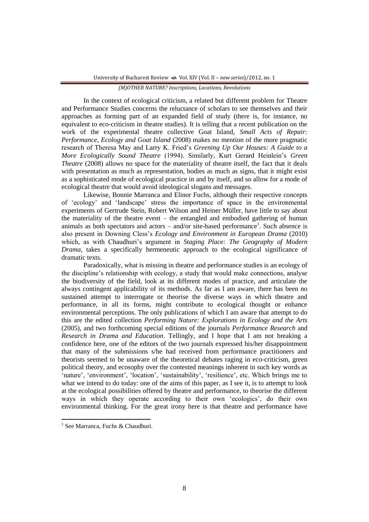In the context of ecological criticism, a related but different problem for Theatre and Performance Studies concerns the reluctance of scholars to see themselves and their approaches as forming part of an expanded field of study (there is, for instance, no equivalent to eco-criticism in theatre studies). It is telling that a recent publication on the work of the experimental theatre collective Goat Island, *Small Acts of Repair: Performance, Ecology and Goat Island* (2008) makes no mention of the more pragmatic research of Theresa May and Larry K. Fried"s *Greening Up Our Houses: A Guide to a More Ecologically Sound Theatre* (1994). Similarly, Kurt Gerard Heinlein"s *Green Theatre* (2008) allows no space for the materiality of theatre itself, the fact that it deals with presentation as much as representation, bodies as much as signs, that it might exist as a sophisticated mode of ecological practice in and by itself, and so allow for a mode of ecological theatre that would avoid ideological slogans and messages.

Likewise, Bonnie Marranca and Elinor Fuchs, although their respective concepts of "ecology" and "landscape" stress the importance of space in the environmental experiments of Gertrude Stein, Robert Wilson and Heiner Müller, have little to say about the materiality of the theatre event – the entangled and embodied gathering of human animals as both spectators and actors  $-$  and/or site-based performance<sup>1</sup>. Such absence is also present in Downing Cless"s *Ecology and Environment in European Drama* (2010) which, as with Chaudhuri's argument in *Staging Place: The Geography of Modern Drama*, takes a specifically hermeneutic approach to the ecological significance of dramatic texts.

Paradoxically, what is missing in theatre and performance studies is an ecology of the discipline"s relationship with ecology, a study that would make connections, analyse the biodiversity of the field, look at its different modes of practice, and articulate the always contingent applicability of its methods. As far as I am aware, there has been no sustained attempt to interrogate or theorise the diverse ways in which theatre and performance, in all its forms, might contribute to ecological thought or enhance environmental perceptions. The only publications of which I am aware that attempt to do this are the edited collection *Performing Nature: Explorations in Ecology and the Arts* (2005), and two forthcoming special editions of the journals *Performance Research* and *Research in Drama and Education*. Tellingly, and I hope that I am not breaking a confidence here, one of the editors of the two journals expressed his/her disappointment that many of the submissions s/he had received from performance practitioners and theorists seemed to be unaware of the theoretical debates raging in eco-criticism, green political theory, and ecosophy over the contested meanings inherent in such key words as 'nature', 'environment', 'location', 'sustainability', 'resilience', etc. Which brings me to what we intend to do today: one of the aims of this paper, as I see it, is to attempt to look at the ecological possibilities offered by theatre and performance, to theorise the different ways in which they operate according to their own "ecologics", do their own environmental thinking. For the great irony here is that theatre and performance have

 $\overline{a}$ 

<sup>&</sup>lt;sup>1</sup> See Marranca, Fuchs & Chaudhuri.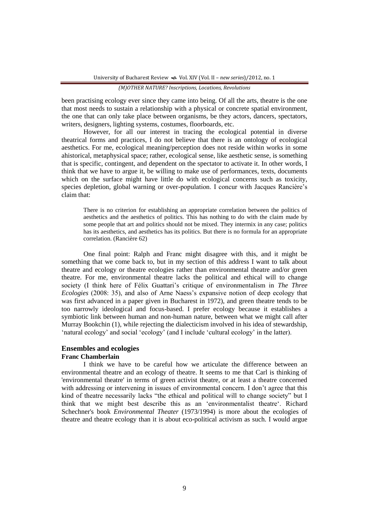been practising ecology ever since they came into being. Of all the arts, theatre is the one that most needs to sustain a relationship with a physical or concrete spatial environment, the one that can only take place between organisms, be they actors, dancers, spectators, writers, designers, lighting systems, costumes, floorboards, etc.

However, for all our interest in tracing the ecological potential in diverse theatrical forms and practices, I do not believe that there is an ontology of ecological aesthetics. For me, ecological meaning/perception does not reside within works in some ahistorical, metaphysical space; rather, ecological sense, like aesthetic sense, is something that is specific, contingent, and dependent on the spectator to activate it. In other words, I think that we have to argue it, be willing to make use of performances, texts, documents which on the surface might have little do with ecological concerns such as toxicity, species depletion, global warning or over-population. I concur with Jacques Rancière's claim that:

There is no criterion for establishing an appropriate correlation between the politics of aesthetics and the aesthetics of politics. This has nothing to do with the claim made by some people that art and politics should not be mixed. They intermix in any case; politics has its aesthetics, and aesthetics has its politics. But there is no formula for an appropriate correlation. (Rancière 62)

One final point: Ralph and Franc might disagree with this, and it might be something that we come back to, but in my section of this address I want to talk about theatre and ecology or theatre ecologies rather than environmental theatre and/or green theatre. For me, environmental theatre lacks the political and ethical will to change society (I think here of Félix Guattari"s critique of environmentalism in *The Three Ecologies* (2008: 35), and also of Arne Naess"s expansive notion of deep ecology that was first advanced in a paper given in Bucharest in 1972), and green theatre tends to be too narrowly ideological and focus-based. I prefer ecology because it establishes a symbiotic link between human and non-human nature, between what we might call after Murray Bookchin (1), while rejecting the dialecticism involved in his idea of stewardship, "natural ecology" and social "ecology" (and I include "cultural ecology" in the latter).

## **Ensembles and ecologies Franc Chamberlain**

I think we have to be careful how we articulate the difference between an environmental theatre and an ecology of theatre. It seems to me that Carl is thinking of 'environmental theatre' in terms of green activist theatre, or at least a theatre concerned with addressing or intervening in issues of environmental concern. I don't agree that this kind of theatre necessarily lacks "the ethical and political will to change society" but I think that we might best describe this as an "environmentalist theatre". Richard Schechner's book *Environmental Theater* (1973/1994) is more about the ecologies of theatre and theatre ecology than it is about eco-political activism as such. I would argue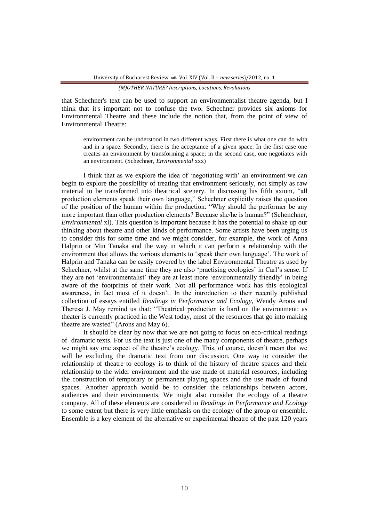that Schechner's text can be used to support an environmentalist theatre agenda, but I think that it's important not to confuse the two. Schechner provides six axioms for Environmental Theatre and these include the notion that, from the point of view of Environmental Theatre:

environment can be understood in two different ways. First there is what one can do with and in a space. Secondly, there is the acceptance of a given space. In the first case one creates an environment by transforming a space; in the second case, one negotiates with an environment. (Schechner, *Environmental* xxx)

I think that as we explore the idea of 'negotiating with' an environment we can begin to explore the possibility of treating that environment seriously, not simply as raw material to be transformed into theatrical scenery. In discussing his fifth axiom, "all production elements speak their own language," Schechner explicitly raises the question of the position of the human within the production: "Why should the performer be any more important than other production elements? Because she/he is human?" (Schenchner, *Environmental* xl). This question is important because it has the potential to shake up our thinking about theatre and other kinds of performance. Some artists have been urging us to consider this for some time and we might consider, for example, the work of Anna Halprin or Min Tanaka and the way in which it can perform a relationship with the environment that allows the various elements to "speak their own language". The work of Halprin and Tanaka can be easily covered by the label Environmental Theatre as used by Schechner, whilst at the same time they are also 'practising ecologies' in Carl's sense. If they are not "environmentalist" they are at least more "environmentally friendly" in being aware of the footprints of their work. Not all performance work has this ecological awareness, in fact most of it doesn"t. In the introduction to their recently published collection of essays entitled *Readings in Performance and Ecology*, Wendy Arons and Theresa J. May remind us that: "Theatrical production is hard on the environment: as theater is currently practiced in the West today, most of the resources that go into making theatre are wasted" (Arons and May 6).

It should be clear by now that we are not going to focus on eco-critical readings of dramatic texts. For us the text is just one of the many components of theatre, perhaps we might say one aspect of the theatre"s ecology. This, of course, doesn"t mean that we will be excluding the dramatic text from our discussion. One way to consider the relationship of theatre to ecology is to think of the history of theatre spaces and their relationship to the wider environment and the use made of material resources, including the construction of temporary or permanent playing spaces and the use made of found spaces. Another approach would be to consider the relationships between actors, audiences and their environments. We might also consider the ecology of a theatre company. All of these elements are considered in *Readings in Performance and Ecology* to some extent but there is very little emphasis on the ecology of the group or ensemble. Ensemble is a key element of the alternative or experimental theatre of the past 120 years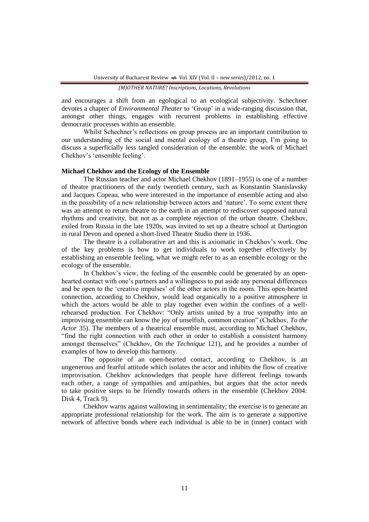and encourages a shift from an egological to an ecological subjectivity. Schechner devotes a chapter of *Environmental Theater* to "Group" in a wide-ranging discussion that, amongst other things, engages with recurrent problems in establishing effective democratic processes within an ensemble.

Whilst Schechner's reflections on group process are an important contribution to our understanding of the social and mental ecology of a theatre group, I"m going to discuss a superficially less tangled consideration of the ensemble: the work of Michael Chekhov's 'ensemble feeling'.

#### **Michael Chekhov and the Ecology of the Ensemble**

The Russian teacher and actor Michael Chekhov (1891–1955) is one of a number of theatre practitioners of the early twentieth century, such as Konstantin Stanislavsky and Jacques Copeau, who were interested in the importance of ensemble acting and also in the possibility of a new relationship between actors and "nature". To some extent there was an attempt to return theatre to the earth in an attempt to rediscover supposed natural rhythms and creativity, but not as a complete rejection of the urban theatre. Chekhov, exiled from Russia in the late 1920s, was invited to set up a theatre school at Dartington in rural Devon and opened a short-lived Theatre Studio there in 1936.

The theatre is a collaborative art and this is axiomatic in Chekhov's work. One of the key problems is how to get individuals to work together effectively by establishing an ensemble feeling, what we might refer to as an ensemble ecology or the ecology of the ensemble.

In Chekhov's view, the feeling of the ensemble could be generated by an openhearted contact with one"s partners and a willingness to put aside any personal differences and be open to the "creative impulses" of the other actors in the room. This open-hearted connection, according to Chekhov, would lead organically to a positive atmosphere in which the actors would be able to play together even within the confines of a wellrehearsed production. For Chekhov: "Only artists united by a true sympathy into an improvising ensemble can know the joy of unselfish, common creation" (Chekhov, *To the Actor* 35). The members of a theatrical ensemble must, according to Michael Chekhov, "find the right connection with each other in order to establish a consistent harmony amongst themselves" (Chekhov, *On the Technique* 121), and he provides a number of examples of how to develop this harmony.

The opposite of an open-hearted contact, according to Chekhov, is an ungenerous and fearful attitude which isolates the actor and inhibits the flow of creative improvisation. Chekhov acknowledges that people have different feelings towards each other, a range of sympathies and antipathies, but argues that the actor needs to take positive steps to be friendly towards others in the ensemble (Chekhov 2004: Disk 4, Track 9).

Chekhov warns against wallowing in sentimentality; the exercise is to generate an appropriate professional relationship for the work. The aim is to generate a supportive network of affective bonds where each individual is able to be in (inner) contact with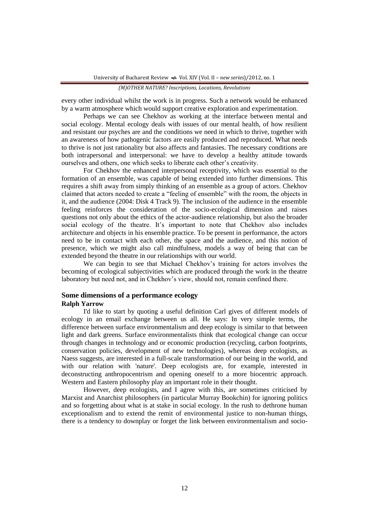every other individual whilst the work is in progress. Such a network would be enhanced by a warm atmosphere which would support creative exploration and experimentation.

Perhaps we can see Chekhov as working at the interface between mental and social ecology. Mental ecology deals with issues of our mental health, of how resilient and resistant our psyches are and the conditions we need in which to thrive, together with an awareness of how pathogenic factors are easily produced and reproduced. What needs to thrive is not just rationality but also affects and fantasies. The necessary conditions are both intrapersonal and interpersonal: we have to develop a healthy attitude towards ourselves and others, one which seeks to liberate each other"s creativity.

For Chekhov the enhanced interpersonal receptivity, which was essential to the formation of an ensemble, was capable of being extended into further dimensions. This requires a shift away from simply thinking of an ensemble as a group of actors. Chekhov claimed that actors needed to create a "feeling of ensemble" with the room, the objects in it, and the audience (2004: Disk 4 Track 9). The inclusion of the audience in the ensemble feeling reinforces the consideration of the socio-ecological dimension and raises questions not only about the ethics of the actor-audience relationship, but also the broader social ecology of the theatre. It's important to note that Chekhov also includes architecture and objects in his ensemble practice. To be present in performance, the actors need to be in contact with each other, the space and the audience, and this notion of presence, which we might also call mindfulness, models a way of being that can be extended beyond the theatre in our relationships with our world.

We can begin to see that Michael Chekhov's training for actors involves the becoming of ecological subjectivities which are produced through the work in the theatre laboratory but need not, and in Chekhov's view, should not, remain confined there.

## **Some dimensions of a performance ecology Ralph Yarrow**

I'd like to start by quoting a useful definition Carl gives of different models of ecology in an email exchange between us all. He says: In very simple terms, the difference between surface environmentalism and deep ecology is similar to that between light and dark greens. Surface environmentalists think that ecological change can occur through changes in technology and or economic production (recycling, carbon footprints, conservation policies, development of new technologies), whereas deep ecologists, as Naess suggests, are interested in a full-scale transformation of our being in the world, and with our relation with 'nature'. Deep ecologists are, for example, interested in deconstructing anthropocentrism and opening oneself to a more biocentric approach. Western and Eastern philosophy play an important role in their thought.

However, deep ecologists, and I agree with this, are sometimes criticised by Marxist and Anarchist philosophers (in particular Murray Bookchin) for ignoring politics and so forgetting about what is at stake in social ecology. In the rush to dethrone human exceptionalism and to extend the remit of environmental justice to non-human things, there is a tendency to downplay or forget the link between environmentalism and socio-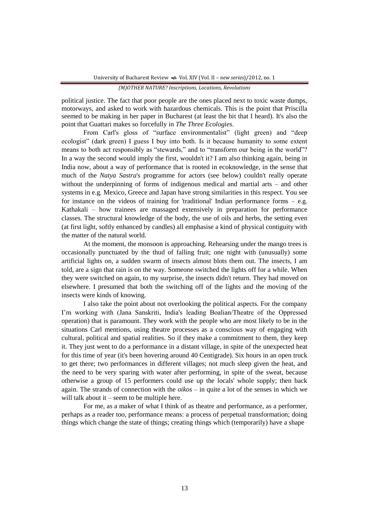political justice. The fact that poor people are the ones placed next to toxic waste dumps, motorways, and asked to work with hazardous chemicals. This is the point that Priscilla seemed to be making in her paper in Bucharest (at least the bit that I heard). It's also the point that Guattari makes so forcefully in *The Three Ecologies*.

From Carl's gloss of "surface environmentalist" (light green) and "deep ecologist" (dark green) I guess I buy into both. Is it because humanity to some extent means to both act responsibly as "stewards," and to "transform our being in the world"? In a way the second would imply the first, wouldn't it? I am also thinking again, being in India now, about a way of performance that is rooted in ecoknowledge, in the sense that much of the *Natya Sastra*'s programme for actors (see below) couldn't really operate without the underpinning of forms of indigenous medical and martial arts – and other systems in e.g. Mexico, Greece and Japan have strong similarities in this respect. You see for instance on the videos of training for 'traditional' Indian performance forms – e.g. Kathakali – how trainees are massaged extensively in preparation for performance classes. The structural knowledge of the body, the use of oils and herbs, the setting even (at first light, softly enhanced by candles) all emphasise a kind of physical contiguity with the matter of the natural world.

At the moment, the monsoon is approaching. Rehearsing under the mango trees is occasionally punctuated by the thud of falling fruit; one night with (unusually) some artificial lights on, a sudden swarm of insects almost blots them out. The insects, I am told, are a sign that rain is on the way. Someone switched the lights off for a while. When they were switched on again, to my surprise, the insects didn't return. They had moved on elsewhere. I presumed that both the switching off of the lights and the moving of the insects were kinds of knowing.

I also take the point about not overlooking the political aspects. For the company I"m working with (Jana Sanskriti, India's leading Boalian/Theatre of the Oppressed operation) that is paramount. They work with the people who are most likely to be in the situations Carl mentions, using theatre processes as a conscious way of engaging with cultural, political and spatial realities. So if they make a commitment to them, they keep it. They just went to do a performance in a distant village, in spite of the unexpected heat for this time of year (it's been hovering around 40 Centigrade). Six hours in an open truck to get there; two performances in different villages; not much sleep given the heat, and the need to be very sparing with water after performing, in spite of the sweat, because otherwise a group of 15 performers could use up the locals' whole supply; then back again. The strands of connection with the *oikos* – in quite a lot of the senses in which we will talk about it – seem to be multiple here.

For me, as a maker of what I think of as theatre and performance, as a performer, perhaps as a reader too, performance means: a process of perpetual transformation; doing things which change the state of things; creating things which (temporarily) have a shape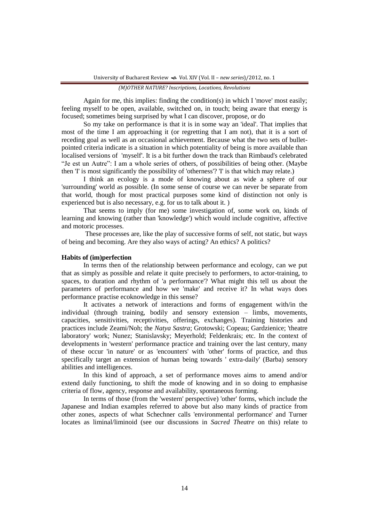Again for me, this implies: finding the condition(s) in which I 'move' most easily; feeling myself to be open, available, switched on, in touch; being aware that energy is focused; sometimes being surprised by what I can discover, propose, or do

So my take on performance is that it is in some way an 'ideal'. That implies that most of the time I am approaching it (or regretting that I am not), that it is a sort of receding goal as well as an occasional achievement. Because what the two sets of bulletpointed criteria indicate is a situation in which potentiality of being is more available than localised versions of 'myself'. It is a bit further down the track than Rimbaud's celebrated "Je est un Autre": I am a whole series of others, of possibilities of being other. (Maybe then 'I' is most significantly the possibility of 'otherness'? 'I' is that which may relate.)

I think an ecology is a mode of knowing about as wide a sphere of our 'surrounding' world as possible. (In some sense of course we can never be separate from that world, though for most practical purposes some kind of distinction not only is experienced but is also necessary, e.g. for us to talk about it. )

That seems to imply (for me) some investigation of, some work on, kinds of learning and knowing (rather than 'knowledge') which would include cognitive, affective and motoric processes.

These processes are, like the play of successive forms of self, not static, but ways of being and becoming. Are they also ways of acting? An ethics? A politics?

#### **Habits of (im)perfection**

In terms then of the relationship between performance and ecology, can we put that as simply as possible and relate it quite precisely to performers, to actor-training, to spaces, to duration and rhythm of 'a performance'? What might this tell us about the parameters of performance and how we 'make' and receive it? In what ways does performance practise ecoknowledge in this sense?

It activates a network of interactions and forms of engagement with/in the individual (through training, bodily and sensory extension – limbs, movements, capacities, sensitivities, receptivities, offerings, exchanges). Training histories and practices include Zeami/Noh; the *Natya Sastra*; Grotowski; Copeau; Gardzienice; 'theatre laboratory' work; Nunez; Stanislavsky; Meyerhold; Feldenkrais; etc. In the context of developments in 'western' performance practice and training over the last century, many of these occur 'in nature' or as 'encounters' with 'other' forms of practice, and thus specifically target an extension of human being towards ' extra-daily' (Barba) sensory abilities and intelligences.

In this kind of approach, a set of performance moves aims to amend and/or extend daily functioning, to shift the mode of knowing and in so doing to emphasise criteria of flow, agency, response and availability, spontaneous forming.

In terms of those (from the 'western' perspective) 'other' forms, which include the Japanese and Indian examples referred to above but also many kinds of practice from other zones, aspects of what Schechner calls 'environmental performance' and Turner locates as liminal/liminoid (see our discussions in *Sacred Theatre* on this) relate to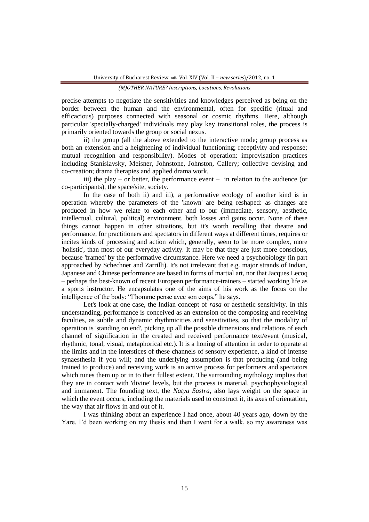precise attempts to negotiate the sensitivities and knowledges perceived as being on the border between the human and the environmental, often for specific (ritual and efficacious) purposes connected with seasonal or cosmic rhythms. Here, although particular 'specially-charged' individuals may play key transitional roles, the process is primarily oriented towards the group or social nexus.

ii) the group (all the above extended to the interactive mode; group process as both an extension and a heightening of individual functioning; receptivity and response; mutual recognition and responsibility). Modes of operation: improvisation practices including Stanislavsky, Meisner, Johnstone, Johnston, Callery; collective devising and co-creation; drama therapies and applied drama work.

iii) the play – or better, the performance event – in relation to the audience (or co-participants), the space/site, society.

In the case of both ii) and iii), a performative ecology of another kind is in operation whereby the parameters of the 'known' are being reshaped: as changes are produced in how we relate to each other and to our (immediate, sensory, aesthetic, intellectual, cultural, political) environment, both losses and gains occur. None of these things cannot happen in other situations, but it's worth recalling that theatre and performance, for practitioners and spectators in different ways at different times, requires or incites kinds of processing and action which, generally, seem to be more complex, more 'holistic', than most of our everyday activity. It may be that they are just more conscious, because 'framed' by the performative circumstance. Here we need a psychobiology (in part approached by Schechner and Zarrilli). It's not irrelevant that e.g. major strands of Indian, Japanese and Chinese performance are based in forms of martial art, nor that Jacques Lecoq – perhaps the best-known of recent European performance-trainers – started working life as a sports instructor. He encapsulates one of the aims of his work as the focus on the intelligence of the body: "l"homme pense avec son corps," he says.

Let's look at one case, the Indian concept of *rasa* or aesthetic sensitivity. In this understanding, performance is conceived as an extension of the composing and receiving faculties, as subtle and dynamic rhythmicities and sensitivities, so that the modality of operation is 'standing on end', picking up all the possible dimensions and relations of each channel of signification in the created and received performance text/event (musical, rhythmic, tonal, visual, metaphorical etc.). It is a honing of attention in order to operate at the limits and in the interstices of these channels of sensory experience, a kind of intense synaesthesia if you will; and the underlying assumption is that producing (and being trained to produce) and receiving work is an active process for performers and spectators which tunes them up or in to their fullest extent. The surrounding mythology implies that they are in contact with 'divine' levels, but the process is material, psychophysiological and immanent. The founding text, the *Natya Sastra*, also lays weight on the space in which the event occurs, including the materials used to construct it, its axes of orientation, the way that air flows in and out of it.

I was thinking about an experience I had once, about 40 years ago, down by the Yare. I'd been working on my thesis and then I went for a walk, so my awareness was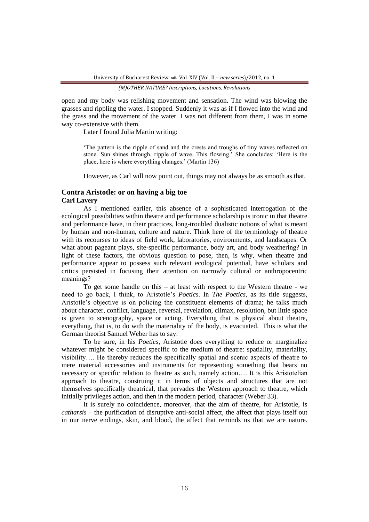open and my body was relishing movement and sensation. The wind was blowing the grasses and rippling the water. I stopped. Suddenly it was as if I flowed into the wind and the grass and the movement of the water. I was not different from them, I was in some way co-extensive with them.

Later I found Julia Martin writing:

"The pattern is the ripple of sand and the crests and troughs of tiny waves reflected on stone. Sun shines through, ripple of wave. This flowing." She concludes: "Here is the place, here is where everything changes." (Martin 136)

However, as Carl will now point out, things may not always be as smooth as that.

## **Contra Aristotle: or on having a big toe Carl Lavery**

As I mentioned earlier, this absence of a sophisticated interrogation of the ecological possibilities within theatre and performance scholarship is ironic in that theatre and performance have, in their practices, long-troubled dualistic notions of what is meant by human and non-human, culture and nature. Think here of the terminology of theatre with its recourses to ideas of field work, laboratories, environments, and landscapes. Or what about pageant plays, site-specific performance, body art, and body weathering? In light of these factors, the obvious question to pose, then, is why, when theatre and performance appear to possess such relevant ecological potential, have scholars and critics persisted in focusing their attention on narrowly cultural or anthropocentric meanings?

To get some handle on this – at least with respect to the Western theatre - we need to go back, I think, to Aristotle"s *Poetics*. In *The Poetics*, as its title suggests, Aristotle"s objective is on policing the constituent elements of drama; he talks much about character, conflict, language, reversal, revelation, climax, resolution, but little space is given to scenography, space or acting. Everything that is physical about theatre, everything, that is, to do with the materiality of the body, is evacuated. This is what the German theorist Samuel Weber has to say:

To be sure, in his *Poetics*, Aristotle does everything to reduce or marginalize whatever might be considered specific to the medium of theatre: spatiality, materiality, visibility…. He thereby reduces the specifically spatial and scenic aspects of theatre to mere material accessories and instruments for representing something that bears no necessary or specific relation to theatre as such, namely action…. It is this Aristotelian approach to theatre, construing it in terms of objects and structures that are not themselves specifically theatrical, that pervades the Western approach to theatre, which initially privileges action, and then in the modern period, character (Weber 33).

It is surely no coincidence, moreover, that the aim of theatre, for Aristotle, is *catharsis* – the purification of disruptive anti-social affect, the affect that plays itself out in our nerve endings, skin, and blood, the affect that reminds us that we are nature.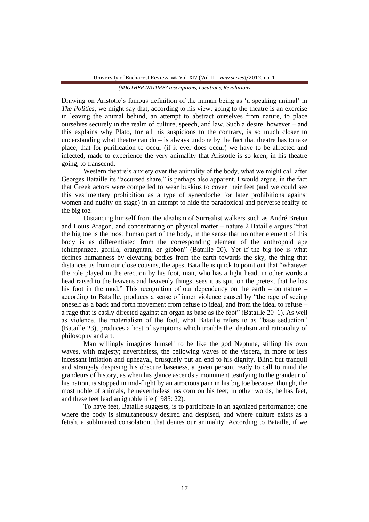Drawing on Aristotle"s famous definition of the human being as "a speaking animal" in *The Politics*, we might say that, according to his view, going to the theatre is an exercise in leaving the animal behind, an attempt to abstract ourselves from nature, to place ourselves securely in the realm of culture, speech, and law. Such a desire, however – and this explains why Plato, for all his suspicions to the contrary, is so much closer to understanding what theatre can  $do - is$  always undone by the fact that theatre has to take place, that for purification to occur (if it ever does occur) we have to be affected and infected, made to experience the very animality that Aristotle is so keen, in his theatre going, to transcend.

Western theatre's anxiety over the animality of the body, what we might call after Georges Bataille its "accursed share," is perhaps also apparent, I would argue, in the fact that Greek actors were compelled to wear buskins to cover their feet (and we could see this vestimentary prohibition as a type of synecdoche for later prohibitions against women and nudity on stage) in an attempt to hide the paradoxical and perverse reality of the big toe.

Distancing himself from the idealism of Surrealist walkers such as André Breton and Louis Aragon, and concentrating on physical matter – nature 2 Bataille argues "that the big toe is the most human part of the body, in the sense that no other element of this body is as differentiated from the corresponding element of the anthropoid ape (chimpanzee, gorilla, orangutan, or gibbon" (Bataille 20). Yet if the big toe is what defines humanness by elevating bodies from the earth towards the sky, the thing that distances us from our close cousins, the apes, Bataille is quick to point out that "whatever the role played in the erection by his foot, man, who has a light head, in other words a head raised to the heavens and heavenly things, sees it as spit, on the pretext that he has his foot in the mud." This recognition of our dependency on the earth – on nature – according to Bataille, produces a sense of inner violence caused by "the rage of seeing oneself as a back and forth movement from refuse to ideal, and from the ideal to refuse – a rage that is easily directed against an organ as base as the foot" (Bataille 20–1). As well as violence, the materialism of the foot, what Bataille refers to as "base seduction" (Bataille 23), produces a host of symptoms which trouble the idealism and rationality of philosophy and art:

Man willingly imagines himself to be like the god Neptune, stilling his own waves, with majesty; nevertheless, the bellowing waves of the viscera, in more or less incessant inflation and upheaval, brusquely put an end to his dignity. Blind but tranquil and strangely despising his obscure baseness, a given person, ready to call to mind the grandeurs of history, as when his glance ascends a monument testifying to the grandeur of his nation, is stopped in mid-flight by an atrocious pain in his big toe because, though, the most noble of animals, he nevertheless has corn on his feet; in other words, he has feet, and these feet lead an ignoble life (1985: 22).

To have feet, Bataille suggests, is to participate in an agonized performance; one where the body is simultaneously desired and despised, and where culture exists as a fetish, a sublimated consolation, that denies our animality. According to Bataille, if we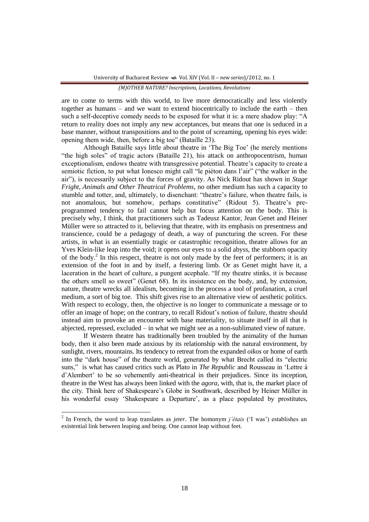are to come to terms with this world, to live more democratically and less violently together as humans – and we want to extend biocentrically to include the earth – then such a self-deceptive comedy needs to be exposed for what it is: a mere shadow play: "A return to reality does not imply any new acceptances, but means that one is seduced in a base manner, without transpositions and to the point of screaming, opening his eyes wide: opening them wide, then, before a big toe" (Bataille 23).

Although Bataille says little about theatre in "The Big Toe" (he merely mentions "the high soles" of tragic actors (Bataille 21), his attack on anthropocentrism, human exceptionalism, endows theatre with transgressive potential. Theatre's capacity to create a semiotic fiction, to put what Ionesco might call "le piéton dans l"air" ("the walker in the air"), is necessarily subject to the forces of gravity. As Nick Ridout has shown in *Stage Fright, Animals and Other Theatrical Problems*, no other medium has such a capacity to stumble and totter, and, ultimately, to disenchant: "theatre"s failure, when theatre fails, is not anomalous, but somehow, perhaps constitutive" (Ridout 5). Theatre's preprogrammed tendency to fail cannot help but focus attention on the body. This is precisely why, I think, that practitioners such as Tadeusz Kantor, Jean Genet and Heiner Müller were so attracted to it, believing that theatre, with its emphasis on presentness and transcience, could be a pedagogy of death, a way of puncturing the screen. For these artists, in what is an essentially tragic or catastrophic recognition, theatre allows for an Yves Klein-like leap into the void; it opens our eyes to a solid abyss, the stubborn opacity of the body.<sup>2</sup> In this respect, theatre is not only made by the feet of performers; it is an extension of the foot in and by itself, a festering limb. Or as Genet might have it, a laceration in the heart of culture, a pungent acephale. "If my theatre stinks, it is because the others smell so sweet" (Genet 68). In its insistence on the body, and, by extension, nature, theatre wrecks all idealism, becoming in the process a tool of profanation, a cruel medium, a sort of big toe. This shift gives rise to an alternative view of aesthetic politics. With respect to ecology, then, the objective is no longer to communicate a message or to offer an image of hope; on the contrary, to recall Ridout"s notion of failure, theatre should instead aim to provoke an encounter with base materiality, to situate itself in all that is abjected, repressed, excluded – in what we might see as a non-sublimated view of nature.

If Western theatre has traditionally been troubled by the animality of the human body, then it also been made anxious by its relationship with the natural environment, by sunlight, rivers, mountains. Its tendency to retreat from the expanded *oikos* or home of earth into the "dark house" of the theatre world, generated by what Brecht called its "electric suns," is what has caused critics such as Plato in *The Republic* and Rousseau in "Lettre à d"Alembert" to be so vehemently anti-theatrical in their prejudices. Since its inception, theatre in the West has always been linked with the *agora*, with, that is, the market place of the city. Think here of Shakespeare"s Globe in Southwark, described by Heiner Müller in his wonderful essay 'Shakespeare a Departure', as a place populated by prostitutes,

 $\overline{\phantom{a}}$ 

<sup>2</sup> In French, the word to leap translates as *jeter*. The homonym *j'étais* ("I was") establishes an existential link between leaping and being. One cannot leap without feet.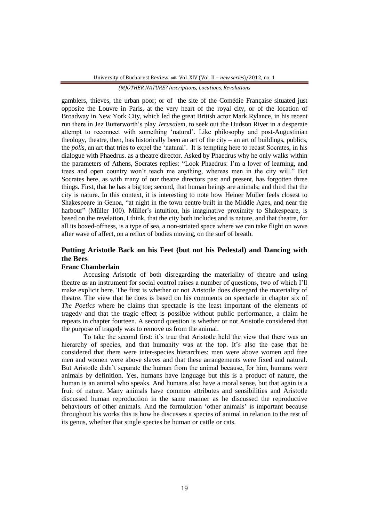gamblers, thieves, the urban poor; or of the site of the Comédie Française situated just opposite the Louvre in Paris, at the very heart of the royal city, or of the location of Broadway in New York City, which led the great British actor Mark Rylance, in his recent run there in Jez Butterworth"s play *Jerusalem*, to seek out the Hudson River in a desperate attempt to reconnect with something "natural". Like philosophy and post-Augustinian theology, theatre, then, has historically been an art of the city – an art of buildings, publics, the *polis*, an art that tries to expel the "natural". It is tempting here to recast Socrates, in his dialogue with Phaedrus. as a theatre director. Asked by Phaedrus why he only walks within the parameters of Athens, Socrates replies: "Look Phaedrus: I"m a lover of learning, and trees and open country won"t teach me anything, whereas men in the city will." But Socrates here, as with many of our theatre directors past and present, has forgotten three things. First, that he has a big toe; second, that human beings are animals; and third that the city is nature. In this context, it is interesting to note how Heiner Müller feels closest to Shakespeare in Genoa, "at night in the town centre built in the Middle Ages, and near the harbour" (Müller 100). Müller's intuition, his imaginative proximity to Shakespeare, is based on the revelation, I think, that the city both includes and is nature, and that theatre, for all its boxed-offness, is a type of sea, a non-striated space where we can take flight on wave after wave of affect, on a reflux of bodies moving, on the surf of breath.

## **Putting Aristotle Back on his Feet (but not his Pedestal) and Dancing with the Bees**

## **Franc Chamberlain**

Accusing Aristotle of both disregarding the materiality of theatre and using theatre as an instrument for social control raises a number of questions, two of which I"ll make explicit here. The first is whether or not Aristotle does disregard the materiality of theatre. The view that he does is based on his comments on spectacle in chapter six of *The Poetics* where he claims that spectacle is the least important of the elements of tragedy and that the tragic effect is possible without public performance, a claim he repeats in chapter fourteen. A second question is whether or not Aristotle considered that the purpose of tragedy was to remove us from the animal.

To take the second first: it's true that Aristotle held the view that there was an hierarchy of species, and that humanity was at the top. It's also the case that he considered that there were inter-species hierarchies: men were above women and free men and women were above slaves and that these arrangements were fixed and natural. But Aristotle didn"t separate the human from the animal because, for him, humans were animals by definition. Yes, humans have language but this is a product of nature, the human is an animal who speaks. And humans also have a moral sense, but that again is a fruit of nature. Many animals have common attributes and sensibilities and Aristotle discussed human reproduction in the same manner as he discussed the reproductive behaviours of other animals. And the formulation 'other animals' is important because throughout his works this is how he discusses a species of animal in relation to the rest of its genus, whether that single species be human or cattle or cats.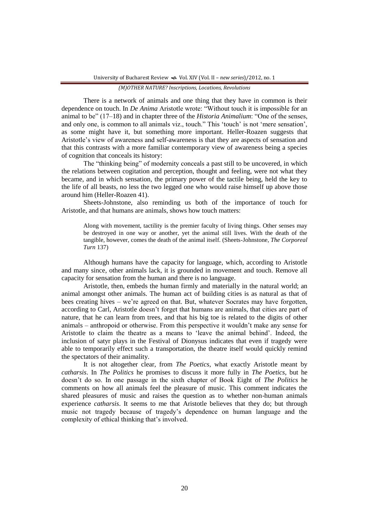There is a network of animals and one thing that they have in common is their dependence on touch. In *De Anima* Aristotle wrote: "Without touch it is impossible for an animal to be" (17–18) and in chapter three of the *Historia Animalium*: "One of the senses, and only one, is common to all animals viz., touch." This 'touch' is not 'mere sensation', as some might have it, but something more important. Heller-Roazen suggests that Aristotle"s view of awareness and self-awareness is that they are aspects of sensation and that this contrasts with a more familiar contemporary view of awareness being a species of cognition that conceals its history:

The "thinking being" of modernity conceals a past still to be uncovered, in which the relations between cogitation and perception, thought and feeling, were not what they became, and in which sensation, the primary power of the tactile being, held the key to the life of all beasts, no less the two legged one who would raise himself up above those around him (Heller-Roazen 41).

Sheets-Johnstone, also reminding us both of the importance of touch for Aristotle, and that humans are animals, shows how touch matters:

Along with movement, tactility is the premier faculty of living things. Other senses may be destroyed in one way or another, yet the animal still lives. With the death of the tangible, however, comes the death of the animal itself. (Sheets-Johnstone, *The Corporeal Turn* 137)

Although humans have the capacity for language, which, according to Aristotle and many since, other animals lack, it is grounded in movement and touch. Remove all capacity for sensation from the human and there is no language.

Aristotle, then, embeds the human firmly and materially in the natural world; an animal amongst other animals. The human act of building cities is as natural as that of bees creating hives – we're agreed on that. But, whatever Socrates may have forgotten, according to Carl, Aristotle doesn"t forget that humans are animals, that cities are part of nature, that he can learn from trees, and that his big toe is related to the digits of other animals – anthropoid or otherwise. From this perspective it wouldn"t make any sense for Aristotle to claim the theatre as a means to "leave the animal behind". Indeed, the inclusion of satyr plays in the Festival of Dionysus indicates that even if tragedy were able to temporarily effect such a transportation, the theatre itself would quickly remind the spectators of their animality.

It is not altogether clear, from *The Poetics*, what exactly Aristotle meant by *catharsis*. In *The Politics* he promises to discuss it more fully in *The Poetics*, but he doesn"t do so. In one passage in the sixth chapter of Book Eight of *The Politics* he comments on how all animals feel the pleasure of music. This comment indicates the shared pleasures of music and raises the question as to whether non-human animals experience *catharsis*. It seems to me that Aristotle believes that they do; but through music not tragedy because of tragedy"s dependence on human language and the complexity of ethical thinking that"s involved.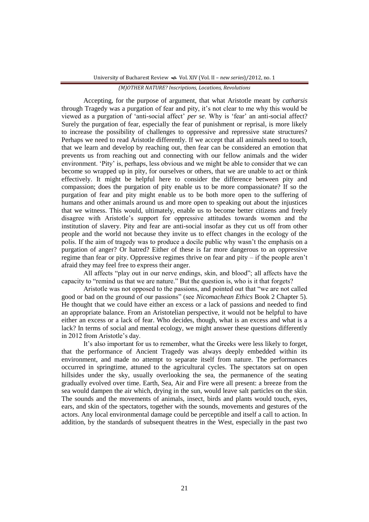Accepting, for the purpose of argument, that what Aristotle meant by *catharsis* through Tragedy was a purgation of fear and pity, it's not clear to me why this would be viewed as a purgation of "anti-social affect" *per se*. Why is "fear" an anti-social affect? Surely the purgation of fear, especially the fear of punishment or reprisal, is more likely to increase the possibility of challenges to oppressive and repressive state structures? Perhaps we need to read Aristotle differently. If we accept that all animals need to touch, that we learn and develop by reaching out, then fear can be considered an emotion that prevents us from reaching out and connecting with our fellow animals and the wider environment. "Pity" is, perhaps, less obvious and we might be able to consider that we can become so wrapped up in pity, for ourselves or others, that we are unable to act or think effectively. It might be helpful here to consider the difference between pity and compassion; does the purgation of pity enable us to be more compassionate? If so the purgation of fear and pity might enable us to be both more open to the suffering of humans and other animals around us and more open to speaking out about the injustices that we witness. This would, ultimately, enable us to become better citizens and freely disagree with Aristotle"s support for oppressive attitudes towards women and the institution of slavery. Pity and fear are anti-social insofar as they cut us off from other people and the world not because they invite us to effect changes in the ecology of the polis. If the aim of tragedy was to produce a docile public why wasn"t the emphasis on a purgation of anger? Or hatred? Either of these is far more dangerous to an oppressive regime than fear or pity. Oppressive regimes thrive on fear and pity – if the people aren"t afraid they may feel free to express their anger.

All affects "play out in our nerve endings, skin, and blood"; all affects have the capacity to "remind us that we are nature." But the question is, who is it that forgets?

Aristotle was not opposed to the passions, and pointed out that "we are not called good or bad on the ground of our passions" (see *Nicomachean Ethics* Book 2 Chapter 5). He thought that we could have either an excess or a lack of passions and needed to find an appropriate balance. From an Aristotelian perspective, it would not be helpful to have either an excess or a lack of fear. Who decides, though, what is an excess and what is a lack? In terms of social and mental ecology, we might answer these questions differently in 2012 from Aristotle"s day.

It's also important for us to remember, what the Greeks were less likely to forget, that the performance of Ancient Tragedy was always deeply embedded within its environment, and made no attempt to separate itself from nature. The performances occurred in springtime, attuned to the agricultural cycles. The spectators sat on open hillsides under the sky, usually overlooking the sea, the permanence of the seating gradually evolved over time. Earth, Sea, Air and Fire were all present: a breeze from the sea would dampen the air which, drying in the sun, would leave salt particles on the skin. The sounds and the movements of animals, insect, birds and plants would touch, eyes, ears, and skin of the spectators, together with the sounds, movements and gestures of the actors. Any local environmental damage could be perceptible and itself a call to action. In addition, by the standards of subsequent theatres in the West, especially in the past two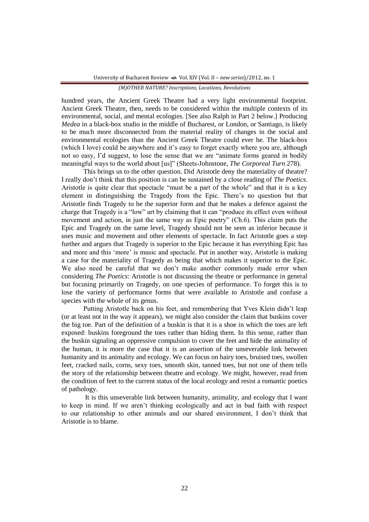hundred years, the Ancient Greek Theatre had a very light environmental footprint. Ancient Greek Theatre, then, needs to be considered within the multiple contexts of its environmental, social, and mental ecologies. [See also Ralph in Part 2 below.] Producing *Medea* in a black-box studio in the middle of Bucharest, or London, or Santiago, is likely to be much more disconnected from the material reality of changes in the social and environmental ecologies than the Ancient Greek Theatre could ever be. The black-box (which I love) could be anywhere and it's easy to forget exactly where you are, although not so easy, I"d suggest, to lose the sense that we are "animate forms geared in bodily meaningful ways to the world about [us]" (Sheets-Johnstone, *The Corporeal Turn* 278).

This brings us to the other question. Did Aristotle deny the materiality of theatre? I really don"t think that this position is can be sustained by a close reading of *The Poetics*. Aristotle is quite clear that spectacle "must be a part of the whole" and that it is a key element in distinguishing the Tragedy from the Epic. There"s no question but that Aristotle finds Tragedy to be the superior form and that he makes a defence against the charge that Tragedy is a "low" art by claiming that it can "produce its effect even without movement and action, in just the same way as Epic poetry" (Ch.6). This claim puts the Epic and Tragedy on the same level, Tragedy should not be seen as inferior because it uses music and movement and other elements of spectacle. In fact Aristotle goes a step further and argues that Tragedy is superior to the Epic because it has everything Epic has and more and this "more" is music and spectacle. Put in another way, Aristotle is making a case for the materiality of Tragedy as being that which makes it superior to the Epic. We also need be careful that we don't make another commonly made error when considering *The Poetics*: Aristotle is not discussing the theatre or performance in general but focusing primarily on Tragedy, on one species of performance. To forget this is to lose the variety of performance forms that were available to Aristotle and confuse a species with the whole of its genus.

Putting Aristotle back on his feet, and remembering that Yves Klein didn"t leap (or at least not in the way it appears), we might also consider the claim that buskins cover the big toe. Part of the definition of a buskin is that it is a shoe in which the toes are left exposed: buskins foreground the toes rather than hiding them. In this sense, rather than the buskin signaling an oppressive compulsion to cover the feet and hide the animality of the human, it is more the case that it is an assertion of the unseverable link between humanity and its animality and ecology. We can focus on hairy toes, bruised toes, swollen feet, cracked nails, corns, sexy toes, smooth skin, tanned toes, but not one of them tells the story of the relationship between theatre and ecology. We might, however, read from the condition of feet to the current status of the local ecology and resist a romantic poetics of pathology.

It is this unseverable link between humanity, animality, and ecology that I want to keep in mind. If we aren"t thinking ecologically and act in bad faith with respect to our relationship to other animals and our shared environment, I don"t think that Aristotle is to blame.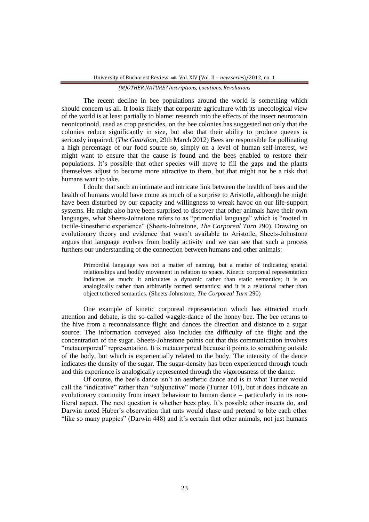The recent decline in bee populations around the world is something which should concern us all. It looks likely that corporate agriculture with its unecological view of the world is at least partially to blame: research into the effects of the insect neurotoxin neonicotinoid, used as crop pesticides, on the bee colonies has suggested not only that the colonies reduce significantly in size, but also that their ability to produce queens is seriously impaired. (*The Guardian*, 29th March 2012) Bees are responsible for pollinating a high percentage of our food source so, simply on a level of human self-interest, we might want to ensure that the cause is found and the bees enabled to restore their populations. It"s possible that other species will move to fill the gaps and the plants themselves adjust to become more attractive to them, but that might not be a risk that humans want to take.

I doubt that such an intimate and intricate link between the health of bees and the health of humans would have come as much of a surprise to Aristotle, although he might have been disturbed by our capacity and willingness to wreak havoc on our life-support systems. He might also have been surprised to discover that other animals have their own languages, what Sheets-Johnstone refers to as "primordial language" which is "rooted in tactile-kinesthetic experience" (Sheets-Johnstone, *The Corporeal Turn* 290). Drawing on evolutionary theory and evidence that wasn"t available to Aristotle, Sheets-Johnstone argues that language evolves from bodily activity and we can see that such a process furthers our understanding of the connection between humans and other animals:

Primordial language was not a matter of naming, but a matter of indicating spatial relationships and bodily movement in relation to space. Kinetic corporeal representation indicates as much: it articulates a dynamic rather than static semantics; it is an analogically rather than arbitrarily formed semantics; and it is a relational rather than object tethered semantics. (Sheets-Johnstone, *The Corporeal Turn* 290)

One example of kinetic corporeal representation which has attracted much attention and debate, is the so-called waggle-dance of the honey bee. The bee returns to the hive from a reconnaissance flight and dances the direction and distance to a sugar source. The information conveyed also includes the difficulty of the flight and the concentration of the sugar. Sheets-Johnstone points out that this communication involves "metacorporeal" representation. It is metacorporeal because it points to something outside of the body, but which is experientially related to the body. The intensity of the dance indicates the density of the sugar. The sugar-density has been experienced through touch and this experience is analogically represented through the vigorousness of the dance.

Of course, the bee"s dance isn"t an aesthetic dance and is in what Turner would call the "indicative" rather than "subjunctive" mode (Turner 101), but it does indicate an evolutionary continuity from insect behaviour to human dance – particularly in its nonliteral aspect. The next question is whether bees play. It's possible other insects do, and Darwin noted Huber"s observation that ants would chase and pretend to bite each other "like so many puppies" (Darwin 448) and it's certain that other animals, not just humans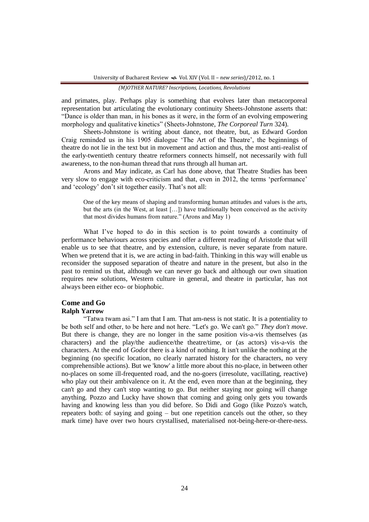and primates, play. Perhaps play is something that evolves later than metacorporeal representation but articulating the evolutionary continuity Sheets-Johnstone asserts that: "Dance is older than man, in his bones as it were, in the form of an evolving empowering morphology and qualitative kinetics" (Sheets-Johnstone, *The Corporeal Turn* 324).

Sheets-Johnstone is writing about dance, not theatre, but, as Edward Gordon Craig reminded us in his 1905 dialogue 'The Art of the Theatre', the beginnings of theatre do not lie in the text but in movement and action and thus, the most anti-realist of the early-twentieth century theatre reformers connects himself, not necessarily with full awareness, to the non-human thread that runs through all human art.

Arons and May indicate, as Carl has done above, that Theatre Studies has been very slow to engage with eco-criticism and that, even in 2012, the terms "performance" and 'ecology' don't sit together easily. That's not all:

One of the key means of shaping and transforming human attitudes and values is the arts, but the arts (in the West, at least […]) have traditionally been conceived as the activity that most divides humans from nature." (Arons and May 1)

What I've hoped to do in this section is to point towards a continuity of performance behaviours across species and offer a different reading of Aristotle that will enable us to see that theatre, and by extension, culture, is never separate from nature. When we pretend that it is, we are acting in bad-faith. Thinking in this way will enable us reconsider the supposed separation of theatre and nature in the present, but also in the past to remind us that, although we can never go back and although our own situation requires new solutions, Western culture in general, and theatre in particular, has not always been either eco- or biophobic.

# **Come and Go**

# **Ralph Yarrow**

"Tatwa twam asi." I am that I am. That am-ness is not static. It is a potentiality to be both self and other, to be here and not here. "Let's go. We can't go." *They don't move*. But there is change, they are no longer in the same position vis-a-vis themselves (as characters) and the play/the audience/the theatre/time, or (as actors) vis-a-vis the characters. At the end of *Godot* there is a kind of nothing. It isn't unlike the nothing at the beginning (no specific location, no clearly narrated history for the characters, no very comprehensible actions). But we 'know' a little more about this no-place, in between other no-places on some ill-frequented road, and the no-goers (irresolute, vacillating, reactive) who play out their ambivalence on it. At the end, even more than at the beginning, they can't go and they can't stop wanting to go. But neither staying nor going will change anything. Pozzo and Lucky have shown that coming and going only gets you towards having and knowing less than you did before. So Didi and Gogo (like Pozzo's watch, repeaters both: of saying and going – but one repetition cancels out the other, so they mark time) have over two hours crystallised, materialised not-being-here-or-there-ness.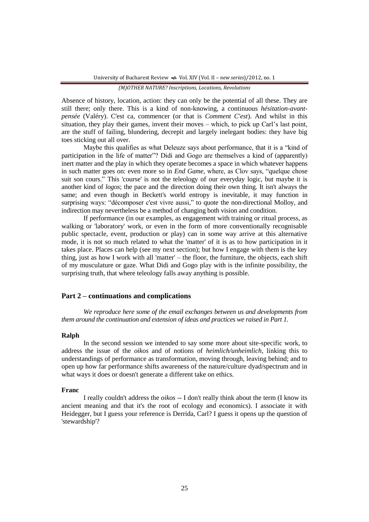Absence of history, location, action: they can only be the potential of all these. They are still there; only there. This is a kind of non-knowing, a continuous *hésitation-avantpensée* (Valéry). C'est ca, commencer (or that is *Comment C'est*). And whilst in this situation, they play their games, invent their moves – which, to pick up Carl"s last point, are the stuff of failing, blundering, decrepit and largely inelegant bodies: they have big toes sticking out all over.

Maybe this qualifies as what Deleuze says about performance, that it is a "kind of participation in the life of matter"? Didi and Gogo are themselves a kind of (apparently) inert matter and the play in which they operate becomes a space in which whatever happens in such matter goes on: even more so in *End Game*, where, as Clov says, "quelque chose suit son cours." This 'course' is not the teleology of our everyday logic, but maybe it is another kind of *logos*; the pace and the direction doing their own thing. It isn't always the same; and even though in Beckett's world entropy is inevitable, it may function in surprising ways: "décomposer c'est vivre aussi," to quote the non-directional Molloy, and indirection may nevertheless be a method of changing both vision and condition.

If performance (in our examples, as engagement with training or ritual process, as walking or 'laboratory' work, or even in the form of more conventionally recognisable public spectacle, event, production or play) can in some way arrive at this alternative mode, it is not so much related to what the 'matter' of it is as to how participation in it takes place. Places can help (see my next section); but how I engage with them is the key thing, just as how I work with all 'matter' – the floor, the furniture, the objects, each shift of my musculature or gaze. What Didi and Gogo play with is the infinite possibility, the surprising truth, that where teleology falls away anything is possible.

## **Part 2 – continuations and complications**

*We reproduce here some of the email exchanges between us and developments from them around the continuation and extension of ideas and practices we raised in Part 1.*

#### **Ralph**

In the second session we intended to say some more about site-specific work, to address the issue of the *oikos* and of notions of *heimlich/unheimlich*, linking this to understandings of performance as transformation, moving through, leaving behind; and to open up how far performance shifts awareness of the nature/culture dyad/spectrum and in what ways it does or doesn't generate a different take on ethics.

### **Franc**

I really couldn't address the *oikos* -- I don't really think about the term (I know its ancient meaning and that it's the root of ecology and economics). I associate it with Heidegger, but I guess your reference is Derrida, Carl? I guess it opens up the question of 'stewardship'?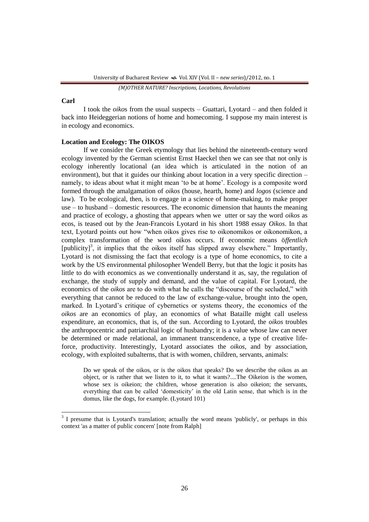#### **Carl**

 $\overline{\phantom{a}}$ 

I took the *oiko*s from the usual suspects – Guattari, Lyotard – and then folded it back into Heideggerian notions of home and homecoming. I suppose my main interest is in ecology and economics.

## **Location and Ecology: The OIKOS**

If we consider the Greek etymology that lies behind the nineteenth-century word ecology invented by the German scientist Ernst Haeckel then we can see that not only is ecology inherently locational (an idea which is articulated in the notion of an environment), but that it guides our thinking about location in a very specific direction – namely, to ideas about what it might mean "to be at home". Ecology is a composite word formed through the amalgamation of *oikos* (house, hearth, home) and *logos* (science and law). To be ecological, then, is to engage in a science of home-making, to make proper use – to husband – domestic resources. The economic dimension that haunts the meaning and practice of ecology, a ghosting that appears when we utter or say the word *oikos* as ecos, is teased out by the Jean-Francois Lyotard in his short 1988 essay *Oikos*. In that text, Lyotard points out how "when oikos gives rise to oikonomikos or oikonomikon, a complex transformation of the word oikos occurs. If economic means ö*ffentlich* [publicity]<sup>3</sup>, it implies that the oikos itself has slipped away elsewhere." Importantly, Lyotard is not dismissing the fact that ecology is a type of home economics, to cite a work by the US environmental philosopher Wendell Berry, but that the logic it posits has little to do with economics as we conventionally understand it as, say, the regulation of exchange, the study of supply and demand, and the value of capital. For Lyotard, the economics of the *oikos* are to do with what he calls the "discourse of the secluded," with everything that cannot be reduced to the law of exchange-value, brought into the open, marked. In Lyotard"s critique of cybernetics or systems theory, the economics of the *oikos* are an economics of play, an economics of what Bataille might call useless expenditure, an economics, that is, of the sun. According to Lyotard, the *oikos* troubles the anthropocentric and patriarchial logic of husbandry; it is a value whose law can never be determined or made relational, an immanent transcendence, a type of creative lifeforce, productivity. Interestingly, Lyotard associates the *oikos*, and by association, ecology, with exploited subalterns, that is with women, children, servants, animals:

Do we speak of the oikos, or is the oikos that speaks? Do we describe the oikos as an object, or is rather that we listen to it, to what it wants?....The Oikeion is the women, whose sex is oikeion; the children, whose generation is also oikeion; the servants, everything that can be called "domesticity" in the old Latin sense, that which is in the domus, like the dogs, for example. (Lyotard 101)

*<sup>(</sup>M)OTHER NATURE? Inscriptions, Locations, Revolutions*

<sup>&</sup>lt;sup>3</sup> I presume that is Lyotard's translation; actually the word means 'publicly', or perhaps in this context 'as a matter of public concern' [note from Ralph]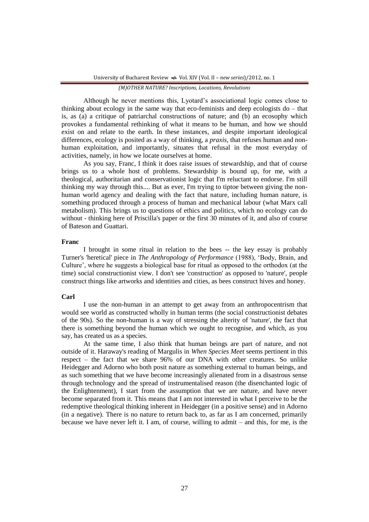Although he never mentions this, Lyotard"s associational logic comes close to thinking about ecology in the same way that eco-feminists and deep ecologists do – that is, as (a) a critique of patriarchal constructions of nature; and (b) an ecosophy which provokes a fundamental rethinking of what it means to be human, and how we should exist on and relate to the earth. In these instances, and despite important ideological differences, ecology is posited as a way of thinking, a *praxis*, that refuses human and nonhuman exploitation, and importantly, situates that refusal in the most everyday of activities, namely, in how we locate ourselves at home.

As you say, Franc, I think it does raise issues of stewardship, and that of course brings us to a whole host of problems. Stewardship is bound up, for me, with a theological, authoritarian and conservationist logic that I'm reluctant to endorse. I'm still thinking my way through this.... But as ever, I'm trying to tiptoe between giving the nonhuman world agency and dealing with the fact that nature, including human nature, is something produced through a process of human and mechanical labour (what Marx call metabolism). This brings us to questions of ethics and politics, which no ecology can do without - thinking here of Priscilla's paper or the first 30 minutes of it, and also of course of Bateson and Guattari.

### **Franc**

I brought in some ritual in relation to the bees -- the key essay is probably Turner's 'heretical' piece in *The Anthropology of Performance* (1988), "Body, Brain, and Culture", where he suggests a biological base for ritual as opposed to the orthodox (at the time) social constructionist view. I don't see 'construction' as opposed to 'nature', people construct things like artworks and identities and cities, as bees construct hives and honey.

## **Carl**

I use the non-human in an attempt to get away from an anthropocentrism that would see world as constructed wholly in human terms (the social constructionist debates of the 90s). So the non-human is a way of stressing the alterity of 'nature', the fact that there is something beyond the human which we ought to recognise, and which, as you say, has created us as a species.

At the same time, I also think that human beings are part of nature, and not outside of it. Haraway's reading of Margulis in *When Species Meet* seems pertinent in this respect – the fact that we share 96% of our DNA with other creatures. So unlike Heidegger and Adorno who both posit nature as something external to human beings, and as such something that we have become increasingly alienated from in a disastrous sense through technology and the spread of instrumentalised reason (the disenchanted logic of the Enlightenment), I start from the assumption that we are nature, and have never become separated from it. This means that I am not interested in what I perceive to be the redemptive theological thinking inherent in Heidegger (in a positive sense) and in Adorno (in a negative). There is no nature to return back to, as far as I am concerned, primarily because we have never left it. I am, of course, willing to admit – and this, for me, is the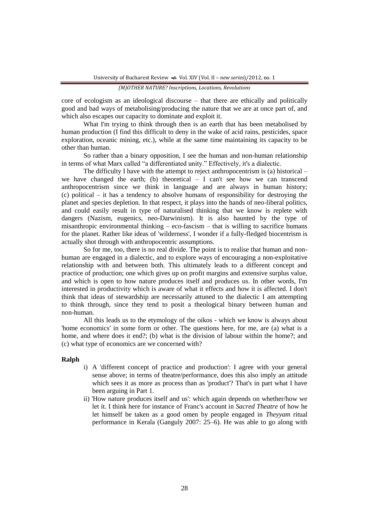core of ecologism as an ideological discourse – that there are ethically and politically good and bad ways of metabolising/producing the nature that we are at once part of, and which also escapes our capacity to dominate and exploit it.

What I'm trying to think through then is an earth that has been metabolised by human production (I find this difficult to deny in the wake of acid rains, pesticides, space exploration, oceanic mining, etc.), while at the same time maintaining its capacity to be other than human.

So rather than a binary opposition, I see the human and non-human relationship in terms of what Marx called "a differentiated unity." Effectively, it's a dialectic.

The difficulty I have with the attempt to reject anthropocentrism is (a) historical – we have changed the earth; (b) theoretical  $- I$  can't see how we can transcend anthropocentrism since we think in language and are always in human history; (c) political – it has a tendency to absolve humans of responsibility for destroying the planet and species depletion. In that respect, it plays into the hands of neo-liberal politics, and could easily result in type of naturalised thinking that we know is replete with dangers (Nazism, eugenics, neo-Darwinism). It is also haunted by the type of misanthropic environmental thinking  $-$  eco-fascism  $-$  that is willing to sacrifice humans for the planet. Rather like ideas of 'wilderness', I wonder if a fully-fledged biocentrism is actually shot through with anthropocentric assumptions.

So for me, too, there is no real divide. The point is to realise that human and nonhuman are engaged in a dialectic, and to explore ways of encouraging a non-exploitative relationship with and between both. This ultimately leads to a different concept and practice of production; one which gives up on profit margins and extensive surplus value, and which is open to how nature produces itself and produces us. In other words, I'm interested in productivity which is aware of what it effects and how it is affected. I don't think that ideas of stewardship are necessarily attuned to the dialectic I am attempting to think through, since they tend to posit a theological binary between human and non-human.

All this leads us to the etymology of the oikos - which we know is always about 'home economics' in some form or other. The questions here, for me, are (a) what is a home, and where does it end?; (b) what is the division of labour within the home?; and (c) what type of economics are we concerned with?

## **Ralph**

- i) A 'different concept of practice and production': I agree with your general sense above; in terms of theatre/performance, does this also imply an attitude which sees it as more as process than as 'product'? That's in part what I have been arguing in Part 1.
- ii) 'How nature produces itself and us': which again depends on whether/how we let it. I think here for instance of Franc's account in *Sacred Theatre* of how he let himself be taken as a good omen by people engaged in *Theyyam* ritual performance in Kerala (Ganguly 2007: 25–6). He was able to go along with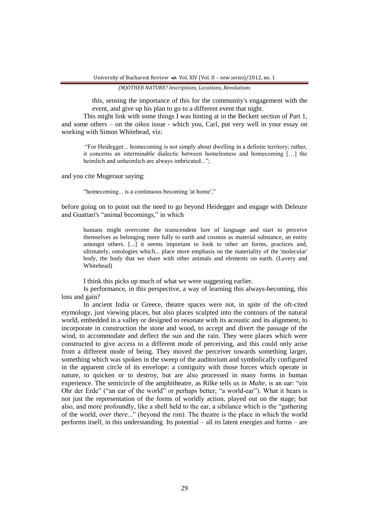this, sensing the importance of this for the community's engagement with the event, and give up his plan to go to a different event that night.

This might link with some things I was hinting at in the Beckett section of Part 1, and some others – on the *oikos* issue - which you, Carl, put very well in your essay on working with Simon Whitehead, viz:

"For Heidegger... homecoming is not simply about dwelling in a definite territory; rather, it concerns an interminable dialectic between homelesness and homecoming […] the heimlich and unheimlich are always imbricated...":

and you cite Mugeraur saying:

"homecoming... is a continuous becoming 'at home',"

before going on to point out the need to go beyond Heidegger and engage with Deleuze and Guattari's "animal becomings," in which

humans might overcome the transcendent lure of language and start to perceive themselves as belonging more fully to earth and cosmos as material substance, an entity amongst others. [...] it seems important to look to other art forms, practices and, ultimately, ontologies which... place more emphasis on the materiality of the 'molecular' body, the body that we share with other animals and elements on earth. (Lavery and Whitehead)

I think this picks up much of what we were suggesting earlier.

Is performance, in this perspective, a way of learning this always-becoming, this loss and gain?

In ancient India or Greece, theatre spaces were not, in spite of the oft-cited etymology, just viewing places, but also places sculpted into the contours of the natural world, embedded in a valley or designed to resonate with its acoustic and its alignment, to incorporate in construction the stone and wood, to accept and divert the passage of the wind, to accommodate and deflect the sun and the rain. They were places which were constructed to give access to a different mode of perceiving, and this could only arise from a different mode of being. They moved the perceiver towards something larger, something which was spoken in the sweep of the auditorium and symbolically configured in the apparent circle of its envelope: a contiguity with those forces which operate in nature, to quicken or to destroy, but are also processed in many forms in human experience. The semicircle of the amphitheatre, as Rilke tells us in *Malte*, is an ear: "ein Ohr der Erde" ("an ear of the world" or perhaps better, "a world-ear"). What it hears is not just the representation of the forms of worldly action, played out on the stage; but also, and more profoundly, like a shell held to the ear, a sibilance which is the "gathering of the world, *over there*..." (beyond the rim). The theatre is the place in which the world performs itself, in this understanding. Its potential – all its latent energies and forms – are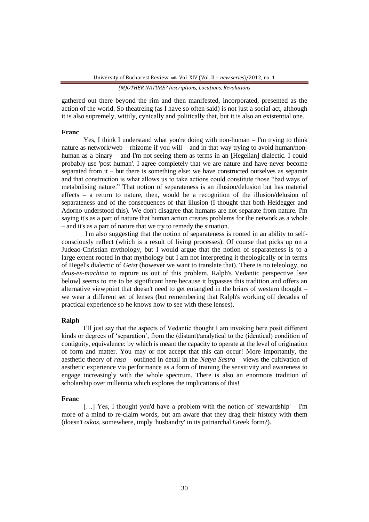gathered out there beyond the rim and then manifested, incorporated, presented as the action of the world. So theatreing (as I have so often said) is not just a social act, although it is also supremely, wittily, cynically and politically that, but it is also an existential one.

## **Franc**

Yes, I think I understand what you're doing with non-human – I'm trying to think nature as network/web – rhizome if you will – and in that way trying to avoid human/nonhuman as a binary – and I'm not seeing them as terms in an [Hegelian] dialectic. I could probably use 'post human'. I agree completely that we are nature and have never become separated from it – but there is something else: we have constructed ourselves as separate and that construction is what allows us to take actions could constitute those "bad ways of metabolising nature." That notion of separateness is an illusion/delusion but has material effects – a return to nature, then, would be a recognition of the illusion/delusion of separateness and of the consequences of that illusion (I thought that both Heidegger and Adorno understood this). We don't disagree that humans are not separate from nature. I'm saying it's as a part of nature that human action creates problems for the network as a whole – and it's as a part of nature that we try to remedy the situation.

I'm also suggesting that the notion of separateness is rooted in an ability to selfconsciously reflect (which is a result of living processes). Of course that picks up on a Judeao-Christian mythology, but I would argue that the notion of separateness is to a large extent rooted in that mythology but I am not interpreting it theologically or in terms of Hegel's dialectic of *Geist* (however we want to translate that). There is no teleology, no *deus-ex-machina* to rapture us out of this problem. Ralph's Vedantic perspective [see below] seems to me to be significant here because it bypasses this tradition and offers an alternative viewpoint that doesn't need to get entangled in the briars of western thought – we wear a different set of lenses (but remembering that Ralph's working off decades of practical experience so he knows how to see with these lenses).

### **Ralph**

I"ll just say that the aspects of Vedantic thought I am invoking here posit different kinds or degrees of "separation", from the (distant)/analytical to the (identical) condition of contiguity, equivalence: by which is meant the capacity to operate at the level of origination of form and matter. You may or not accept that this can occur! More importantly, the aesthetic theory of *rasa* – outlined in detail in the *Natya Sastra* – views the cultivation of aesthetic experience via performance as a form of training the sensitivity and awareness to engage increasingly with the whole spectrum. There is also an enormous tradition of scholarship over millennia which explores the implications of this!

#### **Franc**

[...] Yes, I thought you'd have a problem with the notion of 'stewardship' – I'm more of a mind to re-claim words, but am aware that they drag their history with them (doesn't *oikos*, somewhere, imply 'husbandry' in its patriarchal Greek form?).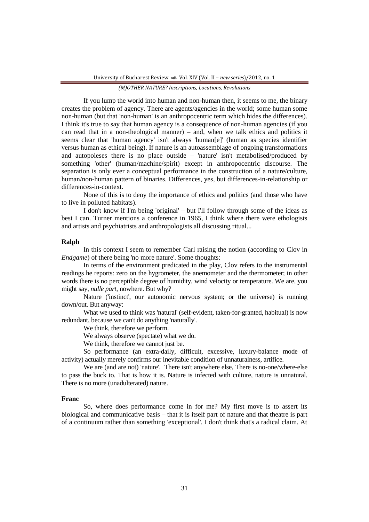If you lump the world into human and non-human then, it seems to me, the binary creates the problem of agency. There are agents/agencies in the world; some human some non-human (but that 'non-human' is an anthropocentric term which hides the differences). I think it's true to say that human agency is a consequence of non-human agencies (if you can read that in a non-theological manner) – and, when we talk ethics and politics it seems clear that 'human agency' isn't always 'human[e]' (human as species identifier versus human as ethical being). If nature is an autoassemblage of ongoing transformations and autopoieses there is no place outside – 'nature' isn't metabolised/produced by something 'other' (human/machine/spirit) except in anthropocentric discourse. The separation is only ever a conceptual performance in the construction of a nature/culture, human/non-human pattern of binaries. Differences, yes, but differences-in-relationship or differences-in-context.

None of this is to deny the importance of ethics and politics (and those who have to live in polluted habitats).

I don't know if I'm being 'original' – but I'll follow through some of the ideas as best I can. Turner mentions a conference in 1965, I think where there were ethologists and artists and psychiatrists and anthropologists all discussing ritual...

## **Ralph**

In this context I seem to remember Carl raising the notion (according to Clov in *Endgame*) of there being 'no more nature'. Some thoughts:

In terms of the environment predicated in the play, Clov refers to the instrumental readings he reports: zero on the hygrometer, the anemometer and the thermometer; in other words there is no perceptible degree of humidity, wind velocity or temperature. We are, you might say, *nulle part*, nowhere. But why?

Nature ('instinct', our autonomic nervous system; or the universe) is running down/out. But anyway:

What we used to think was 'natural' (self-evident, taken-for-granted, habitual) is now redundant, because we can't do anything 'naturally'.

We think, therefore we perform.

We always observe (spectate) what we do.

We think, therefore we cannot just be.

So performance (an extra-daily, difficult, excessive, luxury-balance mode of activity) actually merely confirms our inevitable condition of unnaturalness, artifice.

We are (and are not) 'nature'. There isn't anywhere else, There is no-one/where-else to pass the buck to. That is how it is. Nature is infected with culture, nature is unnatural. There is no more (unadulterated) nature.

#### **Franc**

So, where does performance come in for me? My first move is to assert its biological and communicative basis – that it is itself part of nature and that theatre is part of a continuum rather than something 'exceptional'. I don't think that's a radical claim. At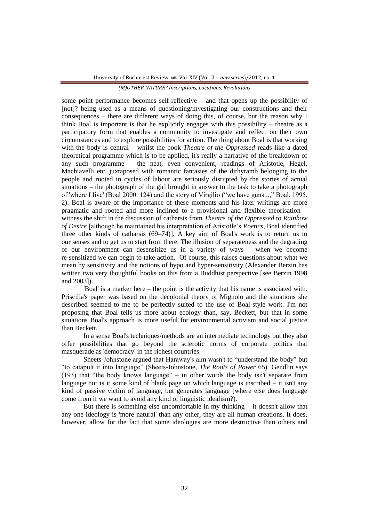some point performance becomes self-reflective – and that opens up the possibility of [not]? being used as a means of questioning/investigating our constructions and their consequences – there are different ways of doing this, of course, but the reason why I think Boal is important is that he explicitly engages with this possibility – theatre as a participatory form that enables a community to investigate and reflect on their own circumstances and to explore possibilities for action. The thing about Boal is that working with the body is central – whilst the book *Theatre of the Oppressed* reads like a dated theoretical programme which is to be applied, it's really a narrative of the breakdown of any such programme – the neat, even convenient, readings of Aristotle, Hegel, Machiavelli etc. juxtaposed with romantic fantasies of the dithyramb belonging to the people and rooted in cycles of labour are seriously disrupted by the stories of actual situations – the photograph of the girl brought in answer to the task to take a photograph of 'where I live' (Boal 2000. 124) and the story of Virgilio ("we have guns...," Boal, 1995, 2). Boal is aware of the importance of these moments and his later writings are more pragmatic and rooted and more inclined to a provisional and flexible theorisation – witness the shift in the discussion of catharsis from *Theatre of the Oppressed* to *Rainbow of Desire* [although he maintained his interpretation of Aristotle"s *Poetics*, Boal identified three other kinds of catharsis (69–74)]. A key aim of Boal's work is to return us to our senses and to get us to start from there. The illusion of separateness and the degrading of our environment can desensitize us in a variety of ways – when we become re-sensitized we can begin to take action. Of course, this raises questions about what we mean by sensitivity and the notions of hypo and hyper-sensitivity (Alexander Berzin has written two very thoughtful books on this from a Buddhist perspective [see Berzin 1998 and 2003]).

'Boal' is a marker here – the point is the activity that his name is associated with. Priscilla's paper was based on the decolonial theory of Mignolo and the situations she described seemed to me to be perfectly suited to the use of Boal-style work. I'm not proposing that Boal tells us more about ecology than, say, Beckett, but that in some situations Boal's approach is more useful for environmental activism and social justice than Beckett.

In a sense Boal's techniques/methods are an intermediate technology but they also offer possibilities that go beyond the sclerotic norms of corporate politics that masquerade as 'democracy' in the richest countries.

Sheets-Johnstone argued that Haraway's aim wasn't to "understand the body" but "to catapult it into language" (Sheets-Johnstone, *The Roots of Power* 65). Gendlin says (193) that "the body knows language" – in other words the body isn't separate from language nor is it some kind of blank page on which language is inscribed – it isn't any kind of passive victim of language, but generates language (where else does language come from if we want to avoid any kind of linguistic idealism?).

But there is something else uncomfortable in my thinking – it doesn't allow that any one ideology is 'more natural' than any other, they are all human creations. It does, however, allow for the fact that some ideologies are more destructive than others and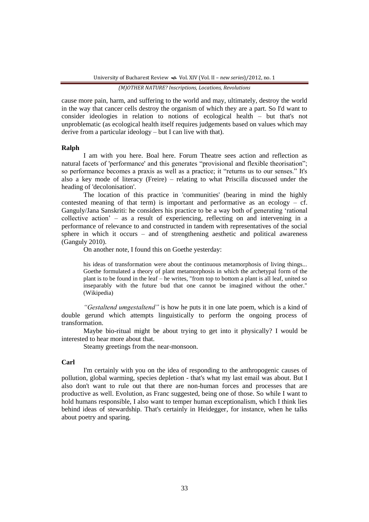cause more pain, harm, and suffering to the world and may, ultimately, destroy the world in the way that cancer cells destroy the organism of which they are a part. So I'd want to consider ideologies in relation to notions of ecological health – but that's not unproblematic (as ecological health itself requires judgements based on values which may derive from a particular ideology – but I can live with that).

### **Ralph**

I am with you here. Boal here. Forum Theatre sees action and reflection as natural facets of 'performance' and this generates "provisional and flexible theorisation"; so performance becomes a praxis as well as a practice; it "returns us to our senses." It's also a key mode of literacy (Freire) – relating to what Priscilla discussed under the heading of 'decolonisation'.

The location of this practice in 'communities' (bearing in mind the highly contested meaning of that term) is important and performative as an ecology – cf. Ganguly/Jana Sanskriti: he considers his practice to be a way both of generating "rational collective action" – as a result of experiencing, reflecting on and intervening in a performance of relevance to and constructed in tandem with representatives of the social sphere in which it occurs – and of strengthening aesthetic and political awareness (Ganguly 2010).

On another note, I found this on Goethe yesterday:

his ideas of transformation were about the continuous metamorphosis of living things... Goethe formulated a theory of plant metamorphosis in which the archetypal form of the plant is to be found in the leaf – he writes, "from top to bottom a plant is all leaf, united so inseparably with the future bud that one cannot be imagined without the other." (Wikipedia)

*"Gestaltend umgestaltend"* is how he puts it in one late poem, which is a kind of double gerund which attempts linguistically to perform the ongoing process of transformation.

Maybe bio-ritual might be about trying to get into it physically? I would be interested to hear more about that.

Steamy greetings from the near-monsoon.

## **Carl**

I'm certainly with you on the idea of responding to the anthropogenic causes of pollution, global warming, species depletion - that's what my last email was about. But I also don't want to rule out that there are non-human forces and processes that are productive as well. Evolution, as Franc suggested, being one of those. So while I want to hold humans responsible, I also want to temper human exceptionalism, which I think lies behind ideas of stewardship. That's certainly in Heidegger, for instance, when he talks about poetry and sparing.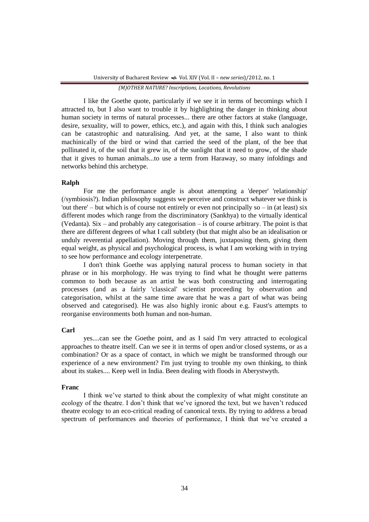I like the Goethe quote, particularly if we see it in terms of becomings which I attracted to, but I also want to trouble it by highlighting the danger in thinking about human society in terms of natural processes... there are other factors at stake (language, desire, sexuality, will to power, ethics, etc.), and again with this, I think such analogies can be catastrophic and naturalising. And yet, at the same, I also want to think machinically of the bird or wind that carried the seed of the plant, of the bee that pollinated it, of the soil that it grew in, of the sunlight that it need to grow, of the shade that it gives to human animals...to use a term from Haraway, so many infoldings and networks behind this archetype.

## **Ralph**

For me the performance angle is about attempting a 'deeper' 'relationship' (/symbiosis?). Indian philosophy suggests we perceive and construct whatever we think is 'out there' – but which is of course not entirely or even not principally so – in (at least) six different modes which range from the discriminatory (Sankhya) to the virtually identical (Vedanta). Six – and probably any categorisation – is of course arbitrary. The point is that there are different degrees of what I call subtlety (but that might also be an idealisation or unduly reverential appellation). Moving through them, juxtaposing them, giving them equal weight, as physical and psychological process, is what I am working with in trying to see how performance and ecology interpenetrate.

I don't think Goethe was applying natural process to human society in that phrase or in his morphology. He was trying to find what he thought were patterns common to both because as an artist he was both constructing and interrogating processes (and as a fairly 'classical' scientist proceeding by observation and categorisation, whilst at the same time aware that he was a part of what was being observed and categorised). He was also highly ironic about e.g. Faust's attempts to reorganise environments both human and non-human.

## **Carl**

yes....can see the Goethe point, and as I said I'm very attracted to ecological approaches to theatre itself. Can we see it in terms of open and/or closed systems, or as a combination? Or as a space of contact, in which we might be transformed through our experience of a new environment? I'm just trying to trouble my own thinking, to think about its stakes.... Keep well in India. Been dealing with floods in Aberystwyth.

## **Franc**

I think we"ve started to think about the complexity of what might constitute an ecology of the theatre. I don't think that we've ignored the text, but we haven't reduced theatre ecology to an eco-critical reading of canonical texts. By trying to address a broad spectrum of performances and theories of performance, I think that we've created a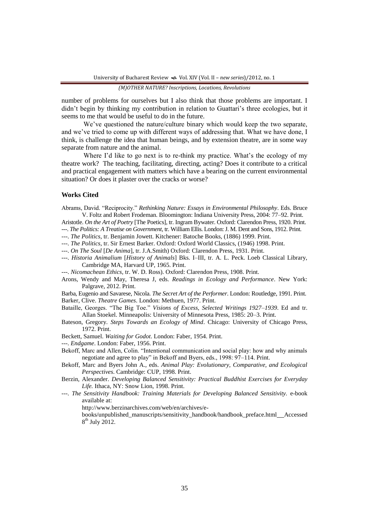number of problems for ourselves but I also think that those problems are important. I didn't begin by thinking my contribution in relation to Guattari's three ecologies, but it seems to me that would be useful to do in the future.

We've questioned the nature/culture binary which would keep the two separate, and we've tried to come up with different ways of addressing that. What we have done, I think, is challenge the idea that human beings, and by extension theatre, are in some way separate from nature and the animal.

Where I'd like to go next is to re-think my practice. What's the ecology of my theatre work? The teaching, facilitating, directing, acting? Does it contribute to a critical and practical engagement with matters which have a bearing on the current environmental situation? Or does it plaster over the cracks or worse?

## **Works Cited**

Abrams, David. "Reciprocity." *Rethinking Nature: Essays in Environmental Philosophy*. Eds. Bruce V. Foltz and Robert Frodeman. Bloomington: Indiana University Press, 2004: 77–92. Print.

Aristotle. *On the Art of Poetry* [The Poetics], tr. Ingram Bywater. Oxford: Clarendon Press, 1920. Print.

---. *The Politics: A Treatise on Government*, tr. William Ellis. London: J. M. Dent and Sons, 1912. Print.

- ---. *The Politics*, tr. Benjamin Jowett. Kitchener: Batoche Books, (1886) 1999. Print.
- ---. *The Politics*, tr. Sir Ernest Barker. Oxford: Oxford World Classics, (1946) 1998. Print.
- ---. *On The Soul* [*De Anima*], tr. J.A.Smith) Oxford: Clarendon Press, 1931. Print.
- ---. *Historia Animalium* [*History of Animals*] Bks. I–III, tr. A. L. Peck. Loeb Classical Library, Cambridge MA, Harvard UP, 1965. Print.
- ---. *Nicomachean Ethics*, tr. W. D. Ross). Oxford: Clarendon Press, 1908. Print.
- Arons, Wendy and May, Theresa J, eds. *Readings in Ecology and Performance*. New York: Palgrave, 2012. Print.

Barba, Eugenio and Savarese, Nicola. *The Secret Art of the Performer*. London: Routledge, 1991. Print. Barker, Clive. *Theatre Games*. London: Methuen, 1977. Print.

- Bataille, Georges. "The Big Toe." *Visions of Excess, Selected Writings 1927–1939*. Ed and tr. Allan Stoekel. Minneapolis: University of Minnesota Press, 1985: 20–3. Print.
- Bateson, Gregory. *Steps Towards an Ecology of Mind*. Chicago: University of Chicago Press, 1972. Print.
- Beckett, Samuel. *Waiting for Godot*. London: Faber, 1954. Print.
- ---. *Endgame*. London: Faber, 1956. Print.
- Bekoff, Marc and Allen, Colin. "Intentional communication and social play: how and why animals negotiate and agree to play" in Bekoff and Byers, eds., 1998: 97–114. Print.

Bekoff, Marc and Byers John A., eds. *Animal Play: Evolutionary, Comparative, and Ecological Perspectives*. Cambridge: CUP, 1998. Print.

- Berzin, Alexander. *Developing Balanced Sensitivity: Practical Buddhist Exercises for Everyday Life.* Ithaca, NY: Snow Lion, 1998. Print.
- ---. *The Sensitivity Handbook: Training Materials for Developing Balanced Sensitivity.* e-book available at:

http://www.berzinarchives.com/web/en/archives/e-

books/unpublished\_manuscripts/sensitivity\_handbook/handbook\_preface.html Accessed  $8<sup>th</sup>$  July 2012.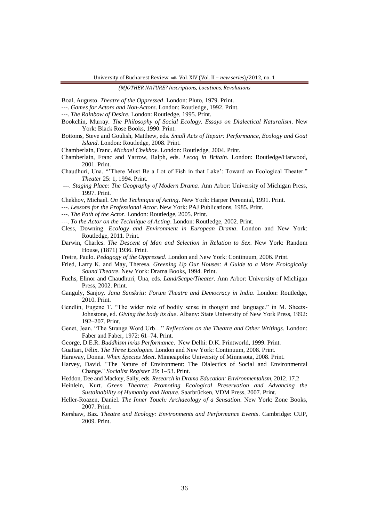Boal, Augusto. *Theatre of the Oppressed*. London: Pluto, 1979. Print.

---. *Games for Actors and Non-Actors*. London: Routledge, 1992. Print.

- ---. *The Rainbow of Desire*. London: Routledge, 1995. Print.
- Bookchin, Murray. *The Philosophy of Social Ecology. Essays on Dialectical Naturalism*. New York: Black Rose Books, 1990. Print.
- Bottoms, Steve and Goulish, Matthew, eds. *Small Acts of Repair: Performance, Ecology and Goat Island*. London: Routledge, 2008. Print.
- Chamberlain, Franc. *Michael Chekhov*. London: Routledge, 2004. Print.
- Chamberlain, Franc and Yarrow, Ralph, eds. *Lecoq in Britain*. London: Routledge/Harwood, 2001. Print.
- Chaudhuri, Una. ""There Must Be a Lot of Fish in that Lake": Toward an Ecological Theater." *Theater* 25: 1, 1994. Print.
- ---. *Staging Place: The Geography of Modern Drama*. Ann Arbor: University of Michigan Press, 1997. Print.
- Chekhov, Michael. *On the Technique of Acting*. New York: Harper Perennial, 1991. Print.
- ---. *Lessons for the Professional Actor*. New York: PAJ Publications, 1985. Print.
- ---. *The Path of the Actor*. London: Routledge, 2005. Print.
- ---. *To the Actor on the Technique of Acting*. London: Routledge, 2002. Print.
- Cless, Downing. *Ecology and Environment in European Drama*. London and New York: Routledge, 2011. Print.
- Darwin, Charles. *The Descent of Man and Selection in Relation to Sex*. New York: Random House, (1871) 1936. Print.
- Freire, Paulo. *Pedagogy of the Oppressed*. London and New York: Continuum, 2006. Print.
- Fried, Larry K. and May, Theresa. *Greening Up Our Houses: A Guide to a More Ecologically Sound Theatre*. New York: Drama Books, 1994. Print.
- Fuchs, Elinor and Chaudhuri, Una, eds. *Land/Scape/Theater*. Ann Arbor: University of Michigan Press, 2002. Print.
- Ganguly, Sanjoy. *Jana Sanskriti: Forum Theatre and Democracy in India*. London: Routledge, 2010. Print.
- Gendlin, Eugene T. "The wider role of bodily sense in thought and language." in M. Sheets-Johnstone, ed. *Giving the body its due*. Albany: State University of New York Press, 1992: 192–207. Print.
- Genet, Jean. "The Strange Word Urb…" *Reflections on the Theatre and Other Writings*. London: Faber and Faber, 1972: 61–74. Print.
- George, D.E.R. *Buddhism in/as Performance*. New Delhi: D.K. Printworld, 1999. Print.
- Guattari, Félix. *The Three Ecologies*. London and New York: Continuum, 2008. Print.
- Haraway, Donna. *When Species Meet*. Minneapolis: University of Minnesota, 2008. Print.
- Harvey, David. "The Nature of Environment: The Dialectics of Social and Environmental Change." *Socialist Register* 29: 1–53. Print.
- Heddon, Dee and Mackey, Sally, eds. *Research in Drama Education: Environmentalism*, 2012. 17.2
- Heinlein, Kurt. *Green Theatre: Promoting Ecological Preservation and Advancing the Sustainability of Humanity and Nature*. Saarbrücken, VDM Press, 2007. Print.
- Heller-Roazen, Daniel. *The Inner Touch: Archaeology of a Sensation*. New York: Zone Books, 2007. Print.
- Kershaw, Baz. *Theatre and Ecology: Environments and Performance Events*. Cambridge: CUP, 2009. Print.